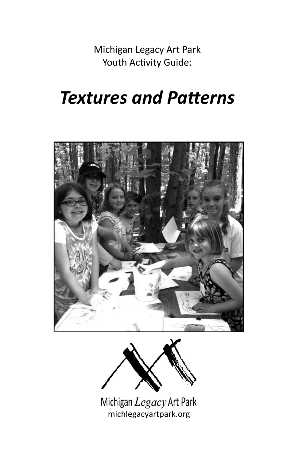Michigan Legacy Art Park Youth Activity Guide:

# *Textures and Patterns*





Michigan Legacy Art Park michlegacyartpark.org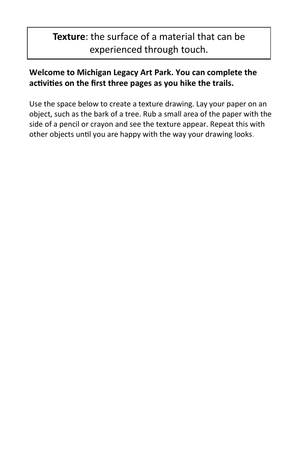# **Texture**: the surface of a material that can be experienced through touch.

## **Welcome to Michigan Legacy Art Park. You can complete the activities on the first three pages as you hike the trails.**

Use the space below to create a texture drawing. Lay your paper on an object, such as the bark of a tree. Rub a small area of the paper with the side of a pencil or crayon and see the texture appear. Repeat this with other objects until you are happy with the way your drawing looks.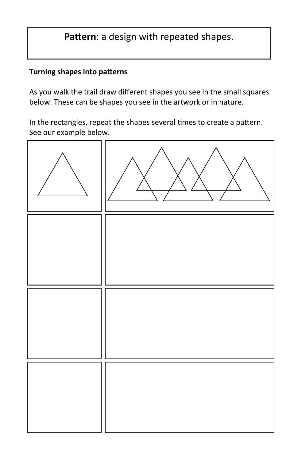# **Pattern**: a design with repeated shapes.

#### **Turning shapes into patterns**

As you walk the trail draw different shapes you see in the small squares below. These can be shapes you see in the artwork or in nature.

In the rectangles, repeat the shapes several times to create a pattern. See our example below.

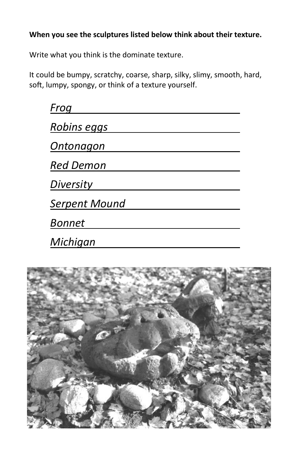#### **When you see the sculptures listed below think about their texture.**

Write what you think is the dominate texture.

It could be bumpy, scratchy, coarse, sharp, silky, slimy, smooth, hard, soft, lumpy, spongy, or think of a texture yourself.

| Froa                 |
|----------------------|
| Robins eggs          |
| Ontonagon            |
| <b>Red Demon</b>     |
| Diversity            |
| <b>Serpent Mound</b> |
| <b>Bonnet</b>        |
| Michigan             |

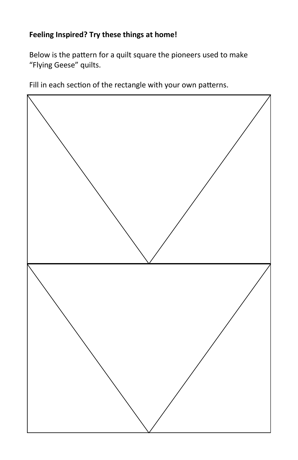#### **Feeling Inspired? Try these things at home!**

Below is the pattern for a quilt square the pioneers used to make "Flying Geese" quilts.

Fill in each section of the rectangle with your own patterns.

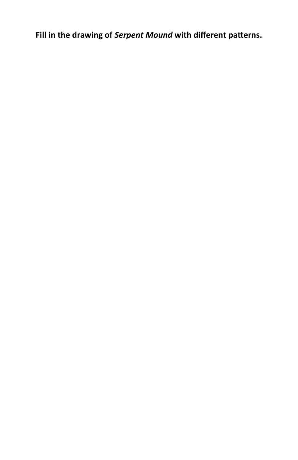**Fill in the drawing of** *Serpent Mound* **with different patterns.**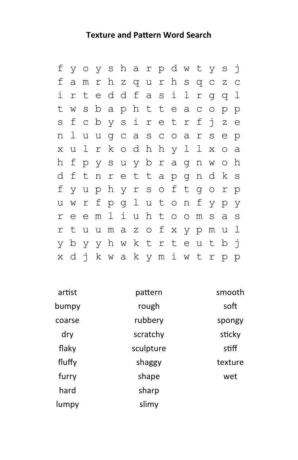### **Texture and Pattern Word Search**

| f |     |  |  |  | y o y s h a r p d w t y s j   |  |  |   |              |  |
|---|-----|--|--|--|-------------------------------|--|--|---|--------------|--|
| f |     |  |  |  | amrhzqurhsqcz                 |  |  |   | $\mathsf{C}$ |  |
| i |     |  |  |  | rteddfasilrgq                 |  |  |   | $\perp$      |  |
| t |     |  |  |  | w s b a p h t t e a c o p p   |  |  |   |              |  |
|   |     |  |  |  | s f c b y s i r e t r f j z e |  |  |   |              |  |
| n |     |  |  |  | l u u g c a s c o a r s e p   |  |  |   |              |  |
|   | x u |  |  |  | l r k o d h h y l l x o a     |  |  |   |              |  |
| h |     |  |  |  | f p y s u y b r a g n w o h   |  |  |   |              |  |
|   |     |  |  |  | d f t n r e t t a p g n d k s |  |  |   |              |  |
|   |     |  |  |  | f y u p h y r s o f t g o r p |  |  |   |              |  |
| u |     |  |  |  | wrfpglutonfyp                 |  |  |   | - y          |  |
|   |     |  |  |  | reemliuhtoomsas               |  |  |   |              |  |
| r |     |  |  |  | tuumazofxypm                  |  |  | u | $\perp$      |  |
|   |     |  |  |  | y b y y h w k t r t e u t b j |  |  |   |              |  |
|   |     |  |  |  | x d j k w a k y m i w t r p p |  |  |   |              |  |

| artist | pattern   | smooth  |
|--------|-----------|---------|
| bumpy  | rough     | soft    |
| coarse | rubbery   | spongy  |
| dry    | scratchy  | sticky  |
| flaky  | sculpture | stiff   |
| fluffy | shaggy    | texture |
| furry  | shape     | wet     |
| hard   | sharp     |         |
| lumpy  | slimy     |         |
|        |           |         |